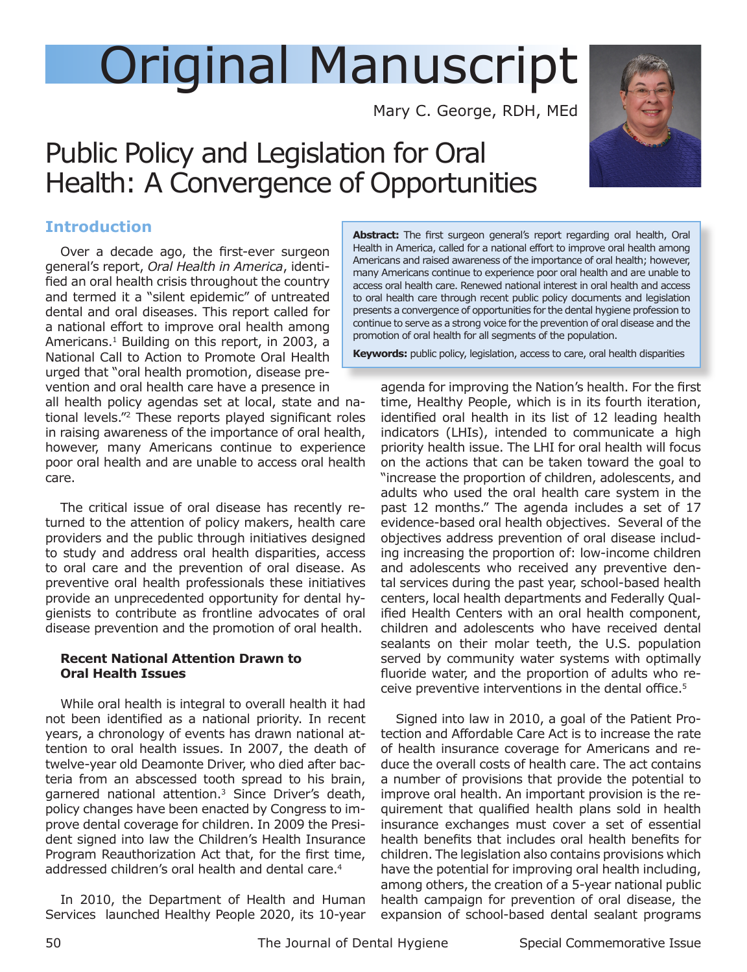# Original Manuscript

Mary C. George, RDH, MEd

# Public Policy and Legislation for Oral Health: A Convergence of Opportunities

### **Introduction**

Over a decade ago, the first-ever surgeon general's report, *Oral Health in America*, identified an oral health crisis throughout the country and termed it a "silent epidemic" of untreated dental and oral diseases. This report called for a national effort to improve oral health among Americans.<sup>1</sup> Building on this report, in 2003, a National Call to Action to Promote Oral Health urged that "oral health promotion, disease prevention and oral health care have a presence in

all health policy agendas set at local, state and national levels."2 These reports played significant roles in raising awareness of the importance of oral health, however, many Americans continue to experience poor oral health and are unable to access oral health care.

The critical issue of oral disease has recently returned to the attention of policy makers, health care providers and the public through initiatives designed to study and address oral health disparities, access to oral care and the prevention of oral disease. As preventive oral health professionals these initiatives provide an unprecedented opportunity for dental hygienists to contribute as frontline advocates of oral disease prevention and the promotion of oral health.

#### **Recent National Attention Drawn to Oral Health Issues**

While oral health is integral to overall health it had not been identified as a national priority. In recent years, a chronology of events has drawn national attention to oral health issues. In 2007, the death of twelve-year old Deamonte Driver, who died after bacteria from an abscessed tooth spread to his brain, garnered national attention.3 Since Driver's death, policy changes have been enacted by Congress to improve dental coverage for children. In 2009 the President signed into law the Children's Health Insurance Program Reauthorization Act that, for the first time, addressed children's oral health and dental care.<sup>4</sup>

In 2010, the Department of Health and Human Services launched Healthy People 2020, its 10-year



**Abstract:** The first surgeon general's report regarding oral health, Oral Health in America, called for a national effort to improve oral health among Americans and raised awareness of the importance of oral health; however, many Americans continue to experience poor oral health and are unable to access oral health care. Renewed national interest in oral health and access to oral health care through recent public policy documents and legislation presents a convergence of opportunities for the dental hygiene profession to continue to serve as a strong voice for the prevention of oral disease and the promotion of oral health for all segments of the population.

**Keywords:** public policy, legislation, access to care, oral health disparities

agenda for improving the Nation's health. For the first time, Healthy People, which is in its fourth iteration, identified oral health in its list of 12 leading health indicators (LHIs), intended to communicate a high priority health issue. The LHI for oral health will focus on the actions that can be taken toward the goal to "increase the proportion of children, adolescents, and adults who used the oral health care system in the past 12 months." The agenda includes a set of 17 evidence-based oral health objectives. Several of the objectives address prevention of oral disease including increasing the proportion of: low-income children and adolescents who received any preventive dental services during the past year, school-based health centers, local health departments and Federally Qualified Health Centers with an oral health component, children and adolescents who have received dental sealants on their molar teeth, the U.S. population served by community water systems with optimally fluoride water, and the proportion of adults who receive preventive interventions in the dental office.<sup>5</sup>

Signed into law in 2010, a goal of the Patient Protection and Affordable Care Act is to increase the rate of health insurance coverage for Americans and reduce the overall costs of health care. The act contains a number of provisions that provide the potential to improve oral health. An important provision is the requirement that qualified health plans sold in health insurance exchanges must cover a set of essential health benefits that includes oral health benefits for children. The legislation also contains provisions which have the potential for improving oral health including, among others, the creation of a 5-year national public health campaign for prevention of oral disease, the expansion of school-based dental sealant programs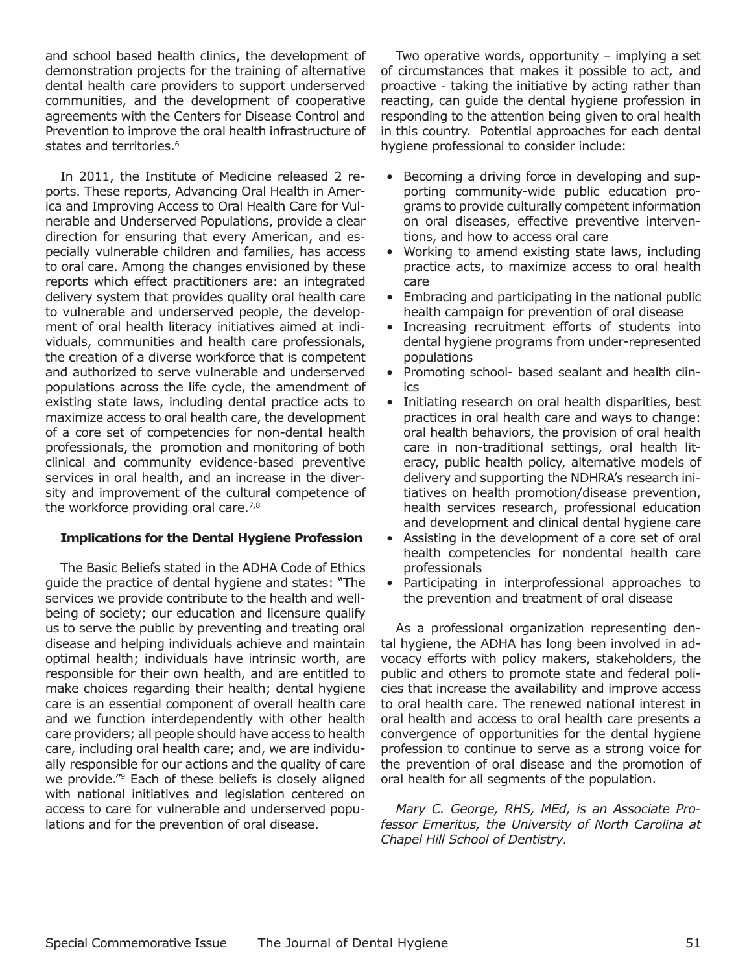and school based health clinics, the development of demonstration projects for the training of alternative dental health care providers to support underserved communities, and the development of cooperative agreements with the Centers for Disease Control and Prevention to improve the oral health infrastructure of states and territories.<sup>6</sup>

In 2011, the Institute of Medicine released 2 reports. These reports, Advancing Oral Health in America and Improving Access to Oral Health Care for Vulnerable and Underserved Populations, provide a clear direction for ensuring that every American, and especially vulnerable children and families, has access to oral care. Among the changes envisioned by these reports which effect practitioners are: an integrated delivery system that provides quality oral health care to vulnerable and underserved people, the development of oral health literacy initiatives aimed at individuals, communities and health care professionals, the creation of a diverse workforce that is competent and authorized to serve vulnerable and underserved populations across the life cycle, the amendment of existing state laws, including dental practice acts to maximize access to oral health care, the development of a core set of competencies for non-dental health professionals, the promotion and monitoring of both clinical and community evidence-based preventive services in oral health, and an increase in the diversity and improvement of the cultural competence of the workforce providing oral care.<sup>7,8</sup>

#### **Implications for the Dental Hygiene Profession**

The Basic Beliefs stated in the ADHA Code of Ethics guide the practice of dental hygiene and states: "The services we provide contribute to the health and wellbeing of society; our education and licensure qualify us to serve the public by preventing and treating oral disease and helping individuals achieve and maintain optimal health; individuals have intrinsic worth, are responsible for their own health, and are entitled to make choices regarding their health; dental hygiene care is an essential component of overall health care and we function interdependently with other health care providers; all people should have access to health care, including oral health care; and, we are individually responsible for our actions and the quality of care we provide."9 Each of these beliefs is closely aligned with national initiatives and legislation centered on access to care for vulnerable and underserved populations and for the prevention of oral disease.

Two operative words, opportunity – implying a set of circumstances that makes it possible to act, and proactive - taking the initiative by acting rather than reacting, can guide the dental hygiene profession in responding to the attention being given to oral health in this country. Potential approaches for each dental hygiene professional to consider include:

- Becoming a driving force in developing and supporting community-wide public education programs to provide culturally competent information on oral diseases, effective preventive interventions, and how to access oral care
- Working to amend existing state laws, including practice acts, to maximize access to oral health care
- Embracing and participating in the national public health campaign for prevention of oral disease
- Increasing recruitment efforts of students into dental hygiene programs from under-represented populations
- Promoting school- based sealant and health clinics
- Initiating research on oral health disparities, best practices in oral health care and ways to change: oral health behaviors, the provision of oral health care in non-traditional settings, oral health literacy, public health policy, alternative models of delivery and supporting the NDHRA's research initiatives on health promotion/disease prevention, health services research, professional education and development and clinical dental hygiene care
- Assisting in the development of a core set of oral health competencies for nondental health care professionals
- Participating in interprofessional approaches to the prevention and treatment of oral disease

As a professional organization representing dental hygiene, the ADHA has long been involved in advocacy efforts with policy makers, stakeholders, the public and others to promote state and federal policies that increase the availability and improve access to oral health care. The renewed national interest in oral health and access to oral health care presents a convergence of opportunities for the dental hygiene profession to continue to serve as a strong voice for the prevention of oral disease and the promotion of oral health for all segments of the population.

*Mary C. George, RHS, MEd, is an Associate Professor Emeritus, the University of North Carolina at Chapel Hill School of Dentistry.*